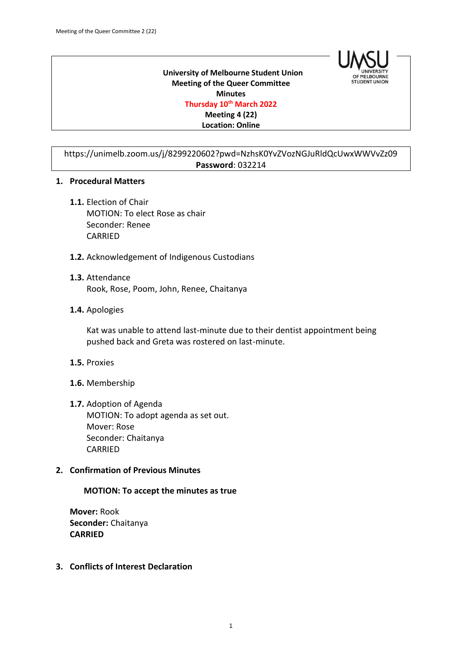

 **University of Melbourne Student Union Meeting of the Queer Committee Minutes Thursday 10th March 2022 Meeting 4 (22) Location: Online**

https://unimelb.zoom.us/j/8299220602?pwd=NzhsK0YvZVozNGJuRldQcUwxWWVvZz09 **Password**: 032214

#### **1. Procedural Matters**

- **1.1.** Election of Chair MOTION: To elect Rose as chair Seconder: Renee CARRIED
- **1.2.** Acknowledgement of Indigenous Custodians
- **1.3.** Attendance Rook, Rose, Poom, John, Renee, Chaitanya
- **1.4.** Apologies

Kat was unable to attend last-minute due to their dentist appointment being pushed back and Greta was rostered on last-minute.

- **1.5.** Proxies
- **1.6.** Membership
- **1.7.** Adoption of Agenda MOTION: To adopt agenda as set out. Mover: Rose Seconder: Chaitanya CARRIED

### **2. Confirmation of Previous Minutes**

#### **MOTION: To accept the minutes as true**

**Mover:** Rook **Seconder:** Chaitanya **CARRIED**

**3. Conflicts of Interest Declaration**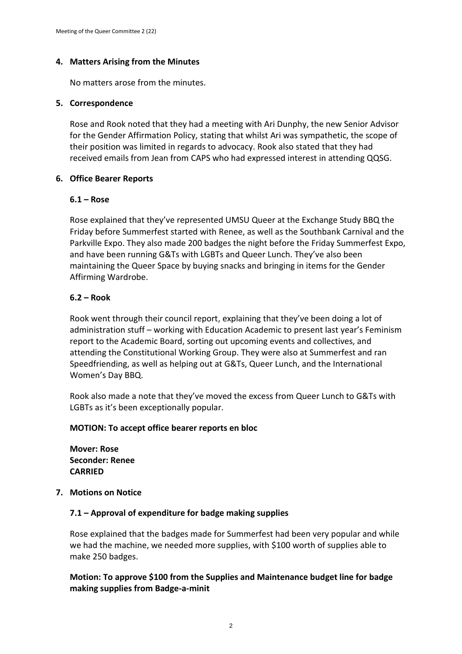# **4. Matters Arising from the Minutes**

No matters arose from the minutes.

# **5. Correspondence**

Rose and Rook noted that they had a meeting with Ari Dunphy, the new Senior Advisor for the Gender Affirmation Policy, stating that whilst Ari was sympathetic, the scope of their position was limited in regards to advocacy. Rook also stated that they had received emails from Jean from CAPS who had expressed interest in attending QQSG.

# **6. Office Bearer Reports**

# **6.1 – Rose**

Rose explained that they've represented UMSU Queer at the Exchange Study BBQ the Friday before Summerfest started with Renee, as well as the Southbank Carnival and the Parkville Expo. They also made 200 badges the night before the Friday Summerfest Expo, and have been running G&Ts with LGBTs and Queer Lunch. They've also been maintaining the Queer Space by buying snacks and bringing in items for the Gender Affirming Wardrobe.

# **6.2 – Rook**

Rook went through their council report, explaining that they've been doing a lot of administration stuff – working with Education Academic to present last year's Feminism report to the Academic Board, sorting out upcoming events and collectives, and attending the Constitutional Working Group. They were also at Summerfest and ran Speedfriending, as well as helping out at G&Ts, Queer Lunch, and the International Women's Day BBQ.

Rook also made a note that they've moved the excess from Queer Lunch to G&Ts with LGBTs as it's been exceptionally popular.

### **MOTION: To accept office bearer reports en bloc**

**Mover: Rose Seconder: Renee CARRIED**

### **7. Motions on Notice**

# **7.1 – Approval of expenditure for badge making supplies**

Rose explained that the badges made for Summerfest had been very popular and while we had the machine, we needed more supplies, with \$100 worth of supplies able to make 250 badges.

# **Motion: To approve \$100 from the Supplies and Maintenance budget line for badge making supplies from Badge-a-minit**